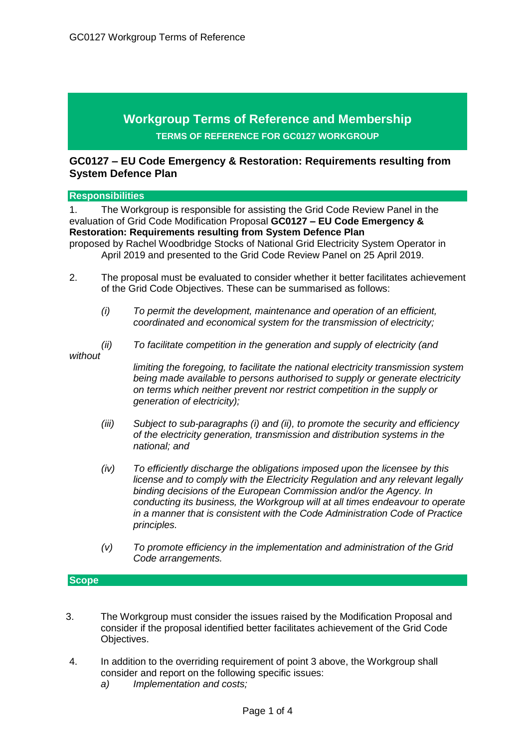# **Workgroup Terms of Reference and Membership TERMS OF REFERENCE FOR GC0127 WORKGROUP**

## **GC0127 – EU Code Emergency & Restoration: Requirements resulting from System Defence Plan**

#### **Responsibilities**

1. The Workgroup is responsible for assisting the Grid Code Review Panel in the evaluation of Grid Code Modification Proposal **GC0127 – EU Code Emergency & Restoration: Requirements resulting from System Defence Plan**  proposed by Rachel Woodbridge Stocks of National Grid Electricity System Operator in

April 2019 and presented to the Grid Code Review Panel on 25 April 2019.

- 2. The proposal must be evaluated to consider whether it better facilitates achievement of the Grid Code Objectives. These can be summarised as follows:
	- *(i) To permit the development, maintenance and operation of an efficient, coordinated and economical system for the transmission of electricity;*
- *without*
- *(ii) To facilitate competition in the generation and supply of electricity (and*

*limiting the foregoing, to facilitate the national electricity transmission system being made available to persons authorised to supply or generate electricity on terms which neither prevent nor restrict competition in the supply or generation of electricity);*

- *(iii) Subject to sub-paragraphs (i) and (ii), to promote the security and efficiency of the electricity generation, transmission and distribution systems in the national; and*
- *(iv) To efficiently discharge the obligations imposed upon the licensee by this license and to comply with the Electricity Regulation and any relevant legally binding decisions of the European Commission and/or the Agency. In conducting its business, the Workgroup will at all times endeavour to operate in a manner that is consistent with the Code Administration Code of Practice principles.*
- *(v) To promote efficiency in the implementation and administration of the Grid Code arrangements.*

### **Scope**

- 3. The Workgroup must consider the issues raised by the Modification Proposal and consider if the proposal identified better facilitates achievement of the Grid Code Objectives.
- 4. In addition to the overriding requirement of point 3 above, the Workgroup shall consider and report on the following specific issues:
	- *a) Implementation and costs;*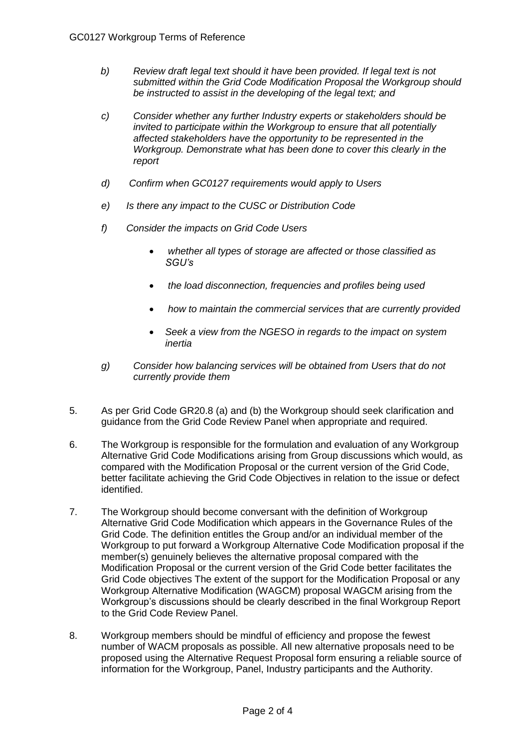- *b) Review draft legal text should it have been provided. If legal text is not submitted within the Grid Code Modification Proposal the Workgroup should be instructed to assist in the developing of the legal text; and*
- *c) Consider whether any further Industry experts or stakeholders should be invited to participate within the Workgroup to ensure that all potentially affected stakeholders have the opportunity to be represented in the Workgroup. Demonstrate what has been done to cover this clearly in the report*
- *d) Confirm when GC0127 requirements would apply to Users*
- *e) Is there any impact to the CUSC or Distribution Code*
- *f) Consider the impacts on Grid Code Users* 
	- *whether all types of storage are affected or those classified as SGU's*
	- *the load disconnection, frequencies and profiles being used*
	- *how to maintain the commercial services that are currently provided*
	- *Seek a view from the NGESO in regards to the impact on system inertia*
- *g) Consider how balancing services will be obtained from Users that do not currently provide them*
- 5. As per Grid Code GR20.8 (a) and (b) the Workgroup should seek clarification and guidance from the Grid Code Review Panel when appropriate and required.
- 6. The Workgroup is responsible for the formulation and evaluation of any Workgroup Alternative Grid Code Modifications arising from Group discussions which would, as compared with the Modification Proposal or the current version of the Grid Code, better facilitate achieving the Grid Code Objectives in relation to the issue or defect identified.
- 7. The Workgroup should become conversant with the definition of Workgroup Alternative Grid Code Modification which appears in the Governance Rules of the Grid Code. The definition entitles the Group and/or an individual member of the Workgroup to put forward a Workgroup Alternative Code Modification proposal if the member(s) genuinely believes the alternative proposal compared with the Modification Proposal or the current version of the Grid Code better facilitates the Grid Code objectives The extent of the support for the Modification Proposal or any Workgroup Alternative Modification (WAGCM) proposal WAGCM arising from the Workgroup's discussions should be clearly described in the final Workgroup Report to the Grid Code Review Panel.
- 8. Workgroup members should be mindful of efficiency and propose the fewest number of WACM proposals as possible. All new alternative proposals need to be proposed using the Alternative Request Proposal form ensuring a reliable source of information for the Workgroup, Panel, Industry participants and the Authority.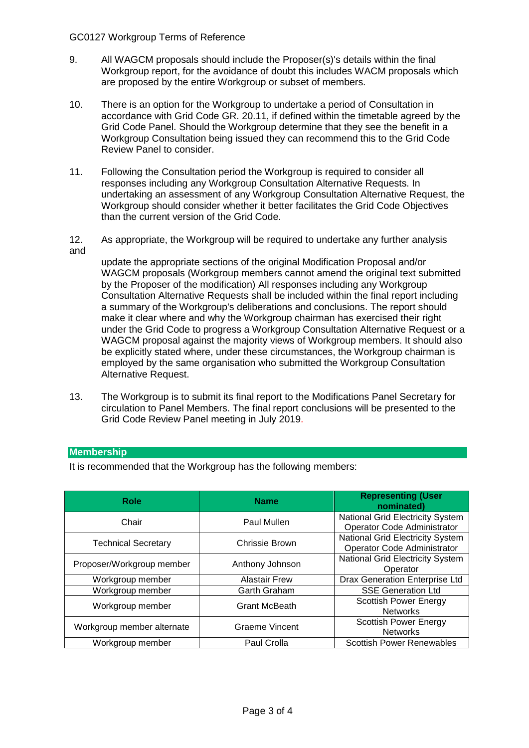#### GC0127 Workgroup Terms of Reference

- 9. All WAGCM proposals should include the Proposer(s)'s details within the final Workgroup report, for the avoidance of doubt this includes WACM proposals which are proposed by the entire Workgroup or subset of members.
- 10. There is an option for the Workgroup to undertake a period of Consultation in accordance with Grid Code GR. 20.11, if defined within the timetable agreed by the Grid Code Panel. Should the Workgroup determine that they see the benefit in a Workgroup Consultation being issued they can recommend this to the Grid Code Review Panel to consider.
- 11. Following the Consultation period the Workgroup is required to consider all responses including any Workgroup Consultation Alternative Requests. In undertaking an assessment of any Workgroup Consultation Alternative Request, the Workgroup should consider whether it better facilitates the Grid Code Objectives than the current version of the Grid Code.
- 12. As appropriate, the Workgroup will be required to undertake any further analysis and

update the appropriate sections of the original Modification Proposal and/or WAGCM proposals (Workgroup members cannot amend the original text submitted by the Proposer of the modification) All responses including any Workgroup Consultation Alternative Requests shall be included within the final report including a summary of the Workgroup's deliberations and conclusions. The report should make it clear where and why the Workgroup chairman has exercised their right under the Grid Code to progress a Workgroup Consultation Alternative Request or a WAGCM proposal against the majority views of Workgroup members. It should also be explicitly stated where, under these circumstances, the Workgroup chairman is employed by the same organisation who submitted the Workgroup Consultation Alternative Request.

13. The Workgroup is to submit its final report to the Modifications Panel Secretary for circulation to Panel Members. The final report conclusions will be presented to the Grid Code Review Panel meeting in July 2019.

#### **Membership**

It is recommended that the Workgroup has the following members:

| Role                       | <b>Name</b>           | <b>Representing (User</b><br>nominated)                                |
|----------------------------|-----------------------|------------------------------------------------------------------------|
| Chair                      | Paul Mullen           | <b>National Grid Electricity System</b><br>Operator Code Administrator |
| <b>Technical Secretary</b> | Chrissie Brown        | <b>National Grid Electricity System</b><br>Operator Code Administrator |
| Proposer/Workgroup member  | Anthony Johnson       | <b>National Grid Electricity System</b><br>Operator                    |
| Workgroup member           | <b>Alastair Frew</b>  | Drax Generation Enterprise Ltd                                         |
| Workgroup member           | Garth Graham          | <b>SSE Generation Ltd</b>                                              |
| Workgroup member           | <b>Grant McBeath</b>  | <b>Scottish Power Energy</b><br><b>Networks</b>                        |
| Workgroup member alternate | <b>Graeme Vincent</b> | <b>Scottish Power Energy</b><br><b>Networks</b>                        |
| Workgroup member           | Paul Crolla           | <b>Scottish Power Renewables</b>                                       |